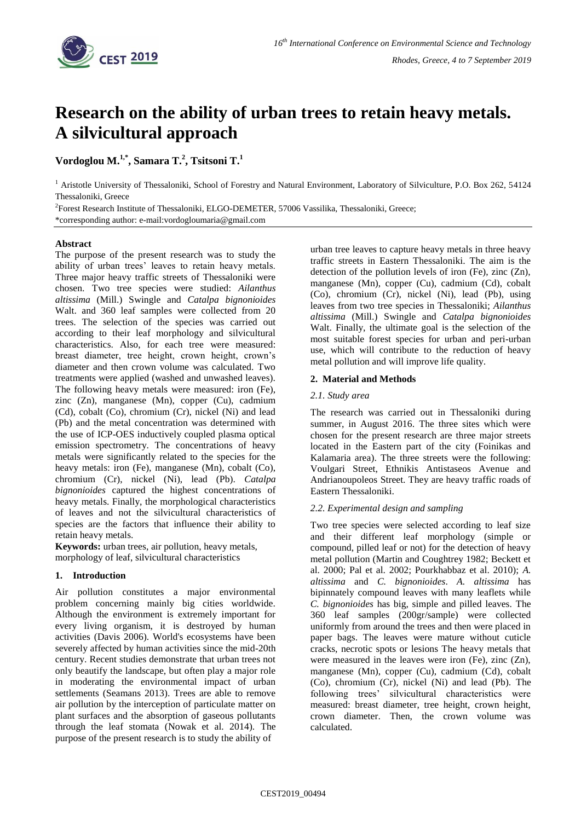

# **Research on the ability of urban trees to retain heavy metals. A silvicultural approach**

 $\mathbf{V}$ ordoglou  $\mathbf{M}.^{1,*}, \mathbf{S}$ amara  $\mathbf{T}.^{2}, \mathbf{T}$ sitsoni  $\mathbf{T}.^{1}$ 

<sup>1</sup> Aristotle University of Thessaloniki, School of Forestry and Natural Environment, Laboratory of Silviculture, P.O. Box 262, 54124 Thessaloniki, Greece

<sup>2</sup>Forest Research Institute of Thessaloniki, ELGO-DEMETER, 57006 Vassilika, Thessaloniki, Greece; \*corresponding author: e-mail:vordogloumaria@gmail.com

## **Abstract**

The purpose of the present research was to study the ability of urban trees' leaves to retain heavy metals. Three major heavy traffic streets of Thessaloniki were chosen. Two tree species were studied: *Ailanthus altissima* (Mill.) Swingle and *Catalpa bignonioides* Walt. and 360 leaf samples were collected from 20 trees. The selection of the species was carried out according to their leaf morphology and silvicultural characteristics. Also, for each tree were measured: breast diameter, tree height, crown height, crown's diameter and then crown volume was calculated. Two treatments were applied (washed and unwashed leaves). The following heavy metals were measured: iron (Fe), zinc (Zn), manganese (Mn), copper (Cu), cadmium (Cd), cobalt (Co), chromium (Cr), nickel (Ni) and lead (Pb) and the metal concentration was determined with the use of ICP-OES inductively coupled plasma optical emission spectrometry. The concentrations of heavy metals were significantly related to the species for the heavy metals: iron (Fe), manganese (Mn), cobalt (Co), chromium (Cr), nickel (Ni), lead (Pb). *Catalpa bignonioides* captured the highest concentrations of heavy metals. Finally, the morphological characteristics of leaves and not the silvicultural characteristics of species are the factors that influence their ability to retain heavy metals.

**Keywords:** urban trees, air pollution, heavy metals, morphology of leaf, silvicultural characteristics

## **1. Introduction**

Air pollution constitutes a major environmental problem concerning mainly big cities worldwide. Although the environment is extremely important for every living organism, it is destroyed by human activities (Davis 2006). World's ecosystems have been severely affected by human activities since the mid-20th century. Recent studies demonstrate that urban trees not only beautify the landscape, but often play a major role in moderating the environmental impact of urban settlements (Seamans 2013). Trees are able to remove air pollution by the interception of particulate matter on plant surfaces and the absorption of gaseous pollutants through the leaf stomata (Nowak et al. 2014). The purpose of the present research is to study the ability of

urban tree leaves to capture heavy metals in three heavy traffic streets in Eastern Thessaloniki. The aim is the detection of the pollution levels of iron (Fe), zinc (Zn), manganese (Mn), copper (Cu), cadmium (Cd), cobalt (Co), chromium (Cr), nickel (Ni), lead (Pb), using leaves from two tree species in Thessaloniki; *Ailanthus altissima* (Mill.) Swingle and *Catalpa bignonioides* Walt. Finally, the ultimate goal is the selection of the most suitable forest species for urban and peri-urban use, which will contribute to the reduction of heavy metal pollution and will improve life quality.

## **2. Material and Methods**

## *2.1. Study area*

The research was carried out in Thessaloniki during summer, in August 2016. The three sites which were chosen for the present research are three major streets located in the Eastern part of the city (Foinikas and Kalamaria area). The three streets were the following: Voulgari Street, Ethnikis Antistaseos Avenue and Andrianoupoleos Street. They are heavy traffic roads of Eastern Thessaloniki.

## *2.2. Experimental design and sampling*

Two tree species were selected according to leaf size and their different leaf morphology (simple or compound, pilled leaf or not) for the detection of heavy metal pollution (Martin and Coughtrey 1982; Beckett et al. 2000; Pal et al. 2002; Pourkhabbaz et al. 2010); *A. altissima* and *C. bignonioides*. *A. altissima* has bipinnately compound leaves with many leaflets while *C. bignonioides* has big, simple and pilled leaves. The 360 leaf samples (200gr/sample) were collected uniformly from around the trees and then were placed in paper bags. The leaves were mature without cuticle cracks, necrotic spots or lesions The heavy metals that were measured in the leaves were iron (Fe), zinc (Zn), manganese (Mn), copper (Cu), cadmium (Cd), cobalt (Co), chromium (Cr), nickel (Ni) and lead (Pb). The following trees' silvicultural characteristics were measured: breast diameter, tree height, crown height, crown diameter. Then, the crown volume was calculated.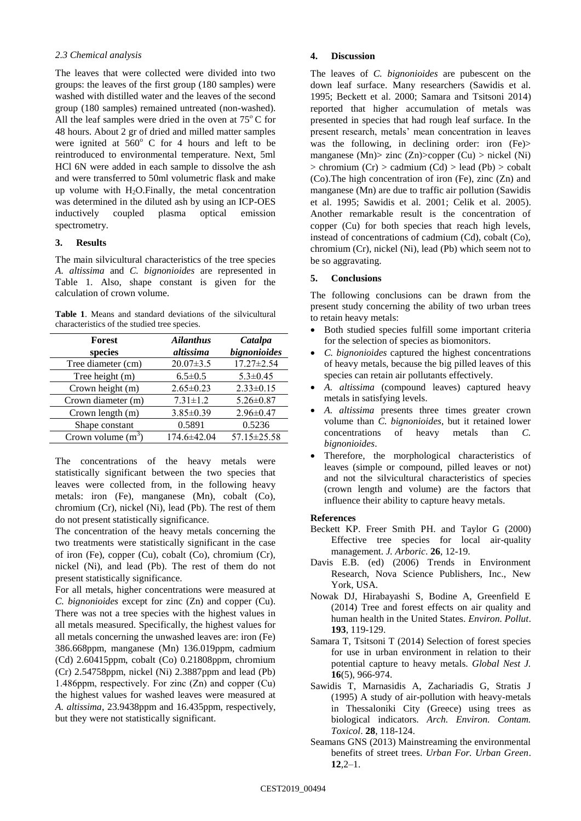## *2.3 Chemical analysis*

The leaves that were collected were divided into two groups: the leaves of the first group (180 samples) were washed with distilled water and the leaves of the second group (180 samples) remained untreated (non-washed). All the leaf samples were dried in the oven at  $75^{\circ}$ C for 48 hours. About 2 gr of dried and milled matter samples were ignited at  $560^{\circ}$  C for 4 hours and left to be reintroduced to environmental temperature. Next, 5ml HCl 6N were added in each sample to dissolve the ash and were transferred to 50ml volumetric flask and make up volume with  $H_2O$ . Finally, the metal concentration was determined in the diluted ash by using an ICP-OES inductively coupled plasma optical emission spectrometry.

#### **3. Results**

The main silvicultural characteristics of the tree species *A. altissima* and *C. bignonioides* are represented in Table 1. Also, shape constant is given for the calculation of crown volume.

**Table 1**. Means and standard deviations of the silvicultural characteristics of the studied tree species.

| Forest               | <b>Ailanthus</b> | Catalpa          |
|----------------------|------------------|------------------|
| species              | altissima        | bignonioides     |
| Tree diameter (cm)   | $20.07 \pm 3.5$  | $17.27 \pm 2.54$ |
| Tree height (m)      | $6.5 \pm 0.5$    | $5.3 \pm 0.45$   |
| Crown height (m)     | $2.65 \pm 0.23$  | $2.33 \pm 0.15$  |
| Crown diameter (m)   | $7.31 \pm 1.2$   | $5.26 \pm 0.87$  |
| Crown length (m)     | $3.85 \pm 0.39$  | $2.96 \pm 0.47$  |
| Shape constant       | 0.5891           | 0.5236           |
| Crown volume $(m^3)$ | 174.6±42.04      | 57.15±25.58      |

The concentrations of the heavy metals were statistically significant between the two species that leaves were collected from, in the following heavy metals: iron (Fe), manganese (Mn), cobalt (Co), chromium (Cr), nickel (Ni), lead (Pb). The rest of them do not present statistically significance.

The concentration of the heavy metals concerning the two treatments were statistically significant in the case of iron (Fe), copper (Cu), cobalt (Co), chromium (Cr), nickel (Ni), and lead (Pb). The rest of them do not present statistically significance.

For all metals, higher concentrations were measured at *C. bignonioides* except for zinc (Zn) and copper (Cu). There was not a tree species with the highest values in all metals measured. Specifically, the highest values for all metals concerning the unwashed leaves are: iron (Fe) 386.668ppm, manganese (Mn) 136.019ppm, cadmium (Cd) 2.60415ppm, cobalt (Co) 0.21808ppm, chromium (Cr) 2.54758ppm, nickel (Ni) 2.3887ppm and lead (Pb) 1.486ppm, respectively. For zinc (Ζn) and copper (Cu) the highest values for washed leaves were measured at *A. altissima*, 23.9438ppm and 16.435ppm, respectively, but they were not statistically significant.

#### **4. Discussion**

The leaves of *C. bignonioides* are pubescent on the down leaf surface. Many researchers (Sawidis et al. 1995; Beckett et al. 2000; Samara and Tsitsoni 2014) reported that higher accumulation of metals was presented in species that had rough leaf surface. In the present research, metals' mean concentration in leaves was the following, in declining order: iron (Fe)> manganese (Mn)  $\chi$ zinc (Zn)  $\chi$ copper (Cu)  $>$  nickel (Ni)  $>$  chromium (Cr)  $>$  cadmium (Cd)  $>$  lead (Pb)  $>$  cobalt (Co).The high concentration of iron (Fe), zinc (Zn) and manganese (Mn) are due to traffic air pollution (Sawidis et al. 1995; Sawidis et al. 2001; Celik et al. 2005). Another remarkable result is the concentration of copper (Cu) for both species that reach high levels, instead of concentrations of cadmium (Cd), cobalt (Co), chromium (Cr), nickel (Ni), lead (Pb) which seem not to be so aggravating.

#### **5. Conclusions**

The following conclusions can be drawn from the present study concerning the ability of two urban trees to retain heavy metals:

- Both studied species fulfill some important criteria for the selection of species as biomonitors.
- *C. bignonioides* captured the highest concentrations of heavy metals, because the big pilled leaves of this species can retain air pollutants effectively.
- *A. altissima* (compound leaves) captured heavy metals in satisfying levels.
- *A. altissima* presents three times greater crown volume than *C. bignonioides*, but it retained lower concentrations of heavy metals than *C. bignonioides*.
- Therefore, the morphological characteristics of leaves (simple or compound, pilled leaves or not) and not the silvicultural characteristics of species (crown length and volume) are the factors that influence their ability to capture heavy metals.

#### **References**

- Beckett KP. Freer Smith PH. and Taylor G (2000) Effective tree species for local air-quality management. *J. Arboric*. **26**, 12-19.
- Davis E.B. (ed) (2006) Trends in Environment Research, Nova Science Publishers, Inc., New York, USA.
- Nowak DJ, Hirabayashi S, Bodine A, Greenfield E (2014) Tree and forest effects on air quality and human health in the United States. *Environ. Pollut*. **193**, 119-129.
- Samara T, Tsitsoni T (2014) Selection of forest species for use in urban environment in relation to their potential capture to heavy metals. *Global Nest J.* **16**(5), 966-974.
- Sawidis T, Marnasidis A, Zachariadis G, Stratis J (1995) A study of air-pollution with heavy-metals in Thessaloniki City (Greece) using trees as biological indicators. *Arch. Environ. Contam. Toxicol*. **28**, 118-124.
- Seamans GNS (2013) Mainstreaming the environmental benefits of street trees. *Urban For. Urban Green*. **12**,2–1.